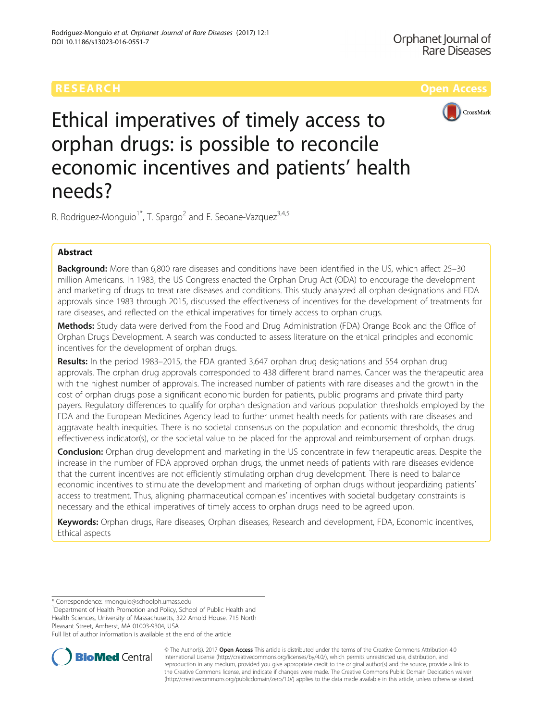# **RESEARCH CHILD CONTROL** CONTROL CONTROL CONTROL CONTROL CONTROL CONTROL CONTROL CONTROL CONTROL CONTROL CONTROL CONTROL CONTROL CONTROL CONTROL CONTROL CONTROL CONTROL CONTROL CONTROL CONTROL CONTROL CONTROL CONTROL CONTR



Ethical imperatives of timely access to orphan drugs: is possible to reconcile economic incentives and patients' health needs?

R. Rodriguez-Monguio<sup>1\*</sup>, T. Spargo<sup>2</sup> and E. Seoane-Vazquez<sup>3,4,5</sup>

# Abstract

**Background:** More than 6,800 rare diseases and conditions have been identified in the US, which affect 25–30 million Americans. In 1983, the US Congress enacted the Orphan Drug Act (ODA) to encourage the development and marketing of drugs to treat rare diseases and conditions. This study analyzed all orphan designations and FDA approvals since 1983 through 2015, discussed the effectiveness of incentives for the development of treatments for rare diseases, and reflected on the ethical imperatives for timely access to orphan drugs.

Methods: Study data were derived from the Food and Drug Administration (FDA) Orange Book and the Office of Orphan Drugs Development. A search was conducted to assess literature on the ethical principles and economic incentives for the development of orphan drugs.

Results: In the period 1983–2015, the FDA granted 3,647 orphan drug designations and 554 orphan drug approvals. The orphan drug approvals corresponded to 438 different brand names. Cancer was the therapeutic area with the highest number of approvals. The increased number of patients with rare diseases and the growth in the cost of orphan drugs pose a significant economic burden for patients, public programs and private third party payers. Regulatory differences to qualify for orphan designation and various population thresholds employed by the FDA and the European Medicines Agency lead to further unmet health needs for patients with rare diseases and aggravate health inequities. There is no societal consensus on the population and economic thresholds, the drug effectiveness indicator(s), or the societal value to be placed for the approval and reimbursement of orphan drugs.

Conclusion: Orphan drug development and marketing in the US concentrate in few therapeutic areas. Despite the increase in the number of FDA approved orphan drugs, the unmet needs of patients with rare diseases evidence that the current incentives are not efficiently stimulating orphan drug development. There is need to balance economic incentives to stimulate the development and marketing of orphan drugs without jeopardizing patients' access to treatment. Thus, aligning pharmaceutical companies' incentives with societal budgetary constraints is necessary and the ethical imperatives of timely access to orphan drugs need to be agreed upon.

Keywords: Orphan drugs, Rare diseases, Orphan diseases, Research and development, FDA, Economic incentives, Ethical aspects

\* Correspondence: [rmonguio@schoolph.umass.edu](mailto:rmonguio@schoolph.umass.edu) <sup>1</sup>

<sup>1</sup>Department of Health Promotion and Policy, School of Public Health and Health Sciences, University of Massachusetts, 322 Arnold House. 715 North Pleasant Street, Amherst, MA 01003-9304, USA

Full list of author information is available at the end of the article



© The Author(s). 2017 **Open Access** This article is distributed under the terms of the Creative Commons Attribution 4.0 International License [\(http://creativecommons.org/licenses/by/4.0/](http://creativecommons.org/licenses/by/4.0/)), which permits unrestricted use, distribution, and reproduction in any medium, provided you give appropriate credit to the original author(s) and the source, provide a link to the Creative Commons license, and indicate if changes were made. The Creative Commons Public Domain Dedication waiver [\(http://creativecommons.org/publicdomain/zero/1.0/](http://creativecommons.org/publicdomain/zero/1.0/)) applies to the data made available in this article, unless otherwise stated.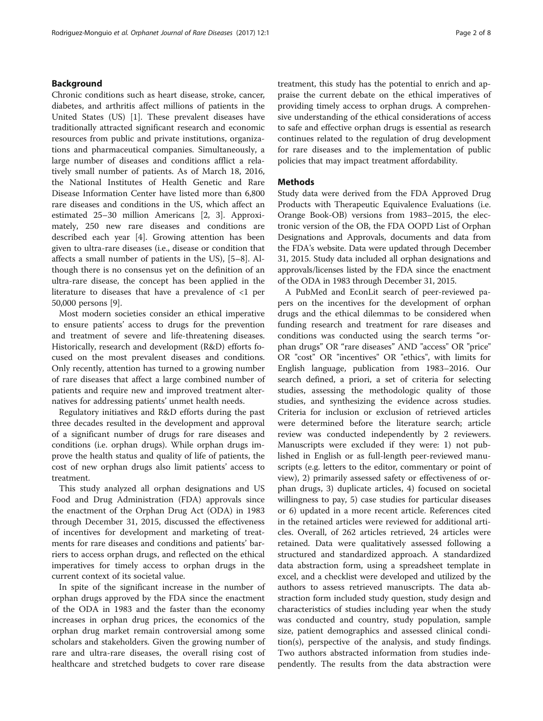## Background

Chronic conditions such as heart disease, stroke, cancer, diabetes, and arthritis affect millions of patients in the United States (US) [\[1\]](#page-6-0). These prevalent diseases have traditionally attracted significant research and economic resources from public and private institutions, organizations and pharmaceutical companies. Simultaneously, a large number of diseases and conditions afflict a relatively small number of patients. As of March 18, 2016, the National Institutes of Health Genetic and Rare Disease Information Center have listed more than 6,800 rare diseases and conditions in the US, which affect an estimated 25–30 million Americans [\[2](#page-6-0), [3\]](#page-6-0). Approximately, 250 new rare diseases and conditions are described each year [[4](#page-6-0)]. Growing attention has been given to ultra-rare diseases (i.e., disease or condition that affects a small number of patients in the US), [\[5](#page-6-0)–[8\]](#page-6-0). Although there is no consensus yet on the definition of an ultra-rare disease, the concept has been applied in the literature to diseases that have a prevalence of <1 per 50,000 persons [[9\]](#page-6-0).

Most modern societies consider an ethical imperative to ensure patients' access to drugs for the prevention and treatment of severe and life-threatening diseases. Historically, research and development (R&D) efforts focused on the most prevalent diseases and conditions. Only recently, attention has turned to a growing number of rare diseases that affect a large combined number of patients and require new and improved treatment alternatives for addressing patients' unmet health needs.

Regulatory initiatives and R&D efforts during the past three decades resulted in the development and approval of a significant number of drugs for rare diseases and conditions (i.e. orphan drugs). While orphan drugs improve the health status and quality of life of patients, the cost of new orphan drugs also limit patients' access to treatment.

This study analyzed all orphan designations and US Food and Drug Administration (FDA) approvals since the enactment of the Orphan Drug Act (ODA) in 1983 through December 31, 2015, discussed the effectiveness of incentives for development and marketing of treatments for rare diseases and conditions and patients' barriers to access orphan drugs, and reflected on the ethical imperatives for timely access to orphan drugs in the current context of its societal value.

In spite of the significant increase in the number of orphan drugs approved by the FDA since the enactment of the ODA in 1983 and the faster than the economy increases in orphan drug prices, the economics of the orphan drug market remain controversial among some scholars and stakeholders. Given the growing number of rare and ultra-rare diseases, the overall rising cost of healthcare and stretched budgets to cover rare disease

treatment, this study has the potential to enrich and appraise the current debate on the ethical imperatives of providing timely access to orphan drugs. A comprehensive understanding of the ethical considerations of access to safe and effective orphan drugs is essential as research continues related to the regulation of drug development for rare diseases and to the implementation of public policies that may impact treatment affordability.

## **Methods**

Study data were derived from the FDA Approved Drug Products with Therapeutic Equivalence Evaluations (i.e. Orange Book-OB) versions from 1983–2015, the electronic version of the OB, the FDA OOPD List of Orphan Designations and Approvals, documents and data from the FDA's website. Data were updated through December 31, 2015. Study data included all orphan designations and approvals/licenses listed by the FDA since the enactment of the ODA in 1983 through December 31, 2015.

A PubMed and EconLit search of peer-reviewed papers on the incentives for the development of orphan drugs and the ethical dilemmas to be considered when funding research and treatment for rare diseases and conditions was conducted using the search terms "orphan drugs" OR "rare diseases" AND "access" OR "price" OR "cost" OR "incentives" OR "ethics", with limits for English language, publication from 1983–2016. Our search defined, a priori, a set of criteria for selecting studies, assessing the methodologic quality of those studies, and synthesizing the evidence across studies. Criteria for inclusion or exclusion of retrieved articles were determined before the literature search; article review was conducted independently by 2 reviewers. Manuscripts were excluded if they were: 1) not published in English or as full-length peer-reviewed manuscripts (e.g. letters to the editor, commentary or point of view), 2) primarily assessed safety or effectiveness of orphan drugs, 3) duplicate articles, 4) focused on societal willingness to pay, 5) case studies for particular diseases or 6) updated in a more recent article. References cited in the retained articles were reviewed for additional articles. Overall, of 262 articles retrieved, 24 articles were retained. Data were qualitatively assessed following a structured and standardized approach. A standardized data abstraction form, using a spreadsheet template in excel, and a checklist were developed and utilized by the authors to assess retrieved manuscripts. The data abstraction form included study question, study design and characteristics of studies including year when the study was conducted and country, study population, sample size, patient demographics and assessed clinical condition(s), perspective of the analysis, and study findings. Two authors abstracted information from studies independently. The results from the data abstraction were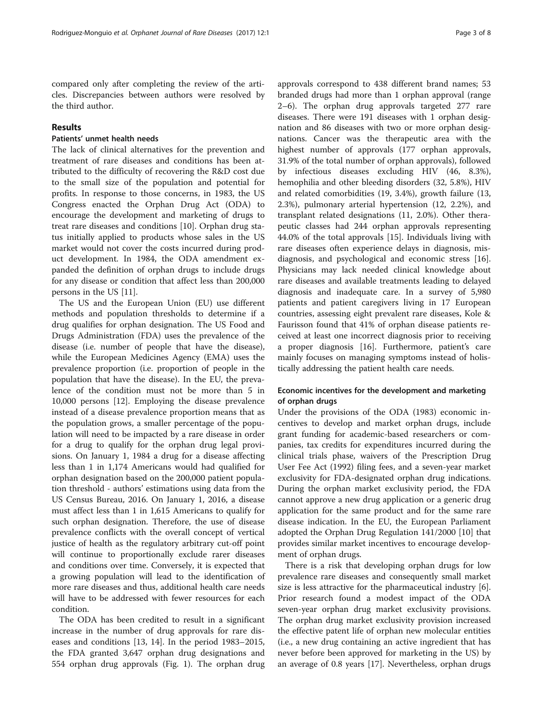compared only after completing the review of the articles. Discrepancies between authors were resolved by the third author.

## Results

## Patients' unmet health needs

The lack of clinical alternatives for the prevention and treatment of rare diseases and conditions has been attributed to the difficulty of recovering the R&D cost due to the small size of the population and potential for profits. In response to those concerns, in 1983, the US Congress enacted the Orphan Drug Act (ODA) to encourage the development and marketing of drugs to treat rare diseases and conditions [[10](#page-6-0)]. Orphan drug status initially applied to products whose sales in the US market would not cover the costs incurred during product development. In 1984, the ODA amendment expanded the definition of orphan drugs to include drugs for any disease or condition that affect less than 200,000 persons in the US [\[11\]](#page-6-0).

The US and the European Union (EU) use different methods and population thresholds to determine if a drug qualifies for orphan designation. The US Food and Drugs Administration (FDA) uses the prevalence of the disease (i.e. number of people that have the disease), while the European Medicines Agency (EMA) uses the prevalence proportion (i.e. proportion of people in the population that have the disease). In the EU, the prevalence of the condition must not be more than 5 in 10,000 persons [[12](#page-6-0)]. Employing the disease prevalence instead of a disease prevalence proportion means that as the population grows, a smaller percentage of the population will need to be impacted by a rare disease in order for a drug to qualify for the orphan drug legal provisions. On January 1, 1984 a drug for a disease affecting less than 1 in 1,174 Americans would had qualified for orphan designation based on the 200,000 patient population threshold - authors' estimations using data from the US Census Bureau, 2016. On January 1, 2016, a disease must affect less than 1 in 1,615 Americans to qualify for such orphan designation. Therefore, the use of disease prevalence conflicts with the overall concept of vertical justice of health as the regulatory arbitrary cut-off point will continue to proportionally exclude rarer diseases and conditions over time. Conversely, it is expected that a growing population will lead to the identification of more rare diseases and thus, additional health care needs will have to be addressed with fewer resources for each condition.

The ODA has been credited to result in a significant increase in the number of drug approvals for rare diseases and conditions [[13, 14](#page-6-0)]. In the period 1983–2015, the FDA granted 3,647 orphan drug designations and 554 orphan drug approvals (Fig. [1\)](#page-3-0). The orphan drug

approvals correspond to 438 different brand names; 53 branded drugs had more than 1 orphan approval (range 2–6). The orphan drug approvals targeted 277 rare diseases. There were 191 diseases with 1 orphan designation and 86 diseases with two or more orphan designations. Cancer was the therapeutic area with the highest number of approvals (177 orphan approvals, 31.9% of the total number of orphan approvals), followed by infectious diseases excluding HIV (46, 8.3%), hemophilia and other bleeding disorders (32, 5.8%), HIV and related comorbidities (19, 3.4%), growth failure (13, 2.3%), pulmonary arterial hypertension (12, 2.2%), and transplant related designations (11, 2.0%). Other therapeutic classes had 244 orphan approvals representing 44.0% of the total approvals [[15](#page-6-0)]. Individuals living with rare diseases often experience delays in diagnosis, misdiagnosis, and psychological and economic stress [\[16](#page-7-0)]. Physicians may lack needed clinical knowledge about rare diseases and available treatments leading to delayed diagnosis and inadequate care. In a survey of 5,980 patients and patient caregivers living in 17 European countries, assessing eight prevalent rare diseases, Kole & Faurisson found that 41% of orphan disease patients received at least one incorrect diagnosis prior to receiving a proper diagnosis [\[16\]](#page-7-0). Furthermore, patient's care mainly focuses on managing symptoms instead of holistically addressing the patient health care needs.

## Economic incentives for the development and marketing of orphan drugs

Under the provisions of the ODA (1983) economic incentives to develop and market orphan drugs, include grant funding for academic-based researchers or companies, tax credits for expenditures incurred during the clinical trials phase, waivers of the Prescription Drug User Fee Act (1992) filing fees, and a seven-year market exclusivity for FDA-designated orphan drug indications. During the orphan market exclusivity period, the FDA cannot approve a new drug application or a generic drug application for the same product and for the same rare disease indication. In the EU, the European Parliament adopted the Orphan Drug Regulation 141/2000 [\[10](#page-6-0)] that provides similar market incentives to encourage development of orphan drugs.

There is a risk that developing orphan drugs for low prevalence rare diseases and consequently small market size is less attractive for the pharmaceutical industry [\[6](#page-6-0)]. Prior research found a modest impact of the ODA seven-year orphan drug market exclusivity provisions. The orphan drug market exclusivity provision increased the effective patent life of orphan new molecular entities (i.e., a new drug containing an active ingredient that has never before been approved for marketing in the US) by an average of 0.8 years [[17](#page-7-0)]. Nevertheless, orphan drugs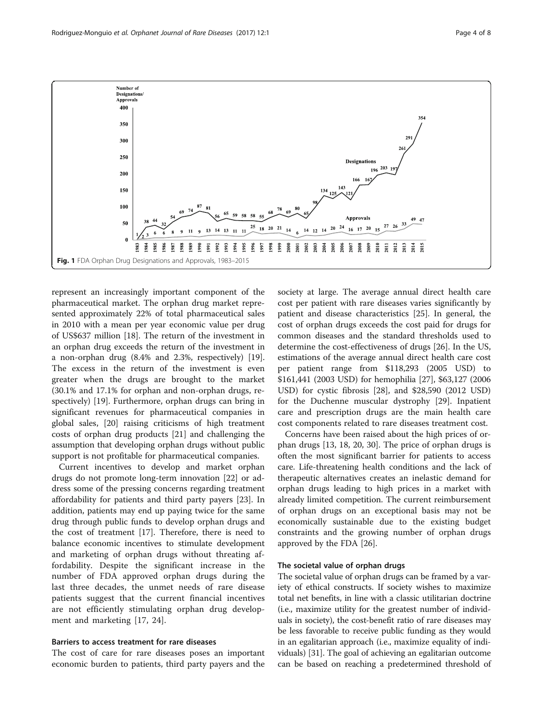represent an increasingly important component of the pharmaceutical market. The orphan drug market represented approximately 22% of total pharmaceutical sales in 2010 with a mean per year economic value per drug of US\$637 million [[18\]](#page-7-0). The return of the investment in an orphan drug exceeds the return of the investment in a non-orphan drug (8.4% and 2.3%, respectively) [\[19](#page-7-0)]. The excess in the return of the investment is even greater when the drugs are brought to the market (30.1% and 17.1% for orphan and non-orphan drugs, respectively) [[19\]](#page-7-0). Furthermore, orphan drugs can bring in significant revenues for pharmaceutical companies in global sales, [[20\]](#page-7-0) raising criticisms of high treatment costs of orphan drug products [[21](#page-7-0)] and challenging the assumption that developing orphan drugs without public support is not profitable for pharmaceutical companies.

Current incentives to develop and market orphan drugs do not promote long-term innovation [\[22\]](#page-7-0) or address some of the pressing concerns regarding treatment affordability for patients and third party payers [[23](#page-7-0)]. In addition, patients may end up paying twice for the same drug through public funds to develop orphan drugs and the cost of treatment [\[17](#page-7-0)]. Therefore, there is need to balance economic incentives to stimulate development and marketing of orphan drugs without threating affordability. Despite the significant increase in the number of FDA approved orphan drugs during the last three decades, the unmet needs of rare disease patients suggest that the current financial incentives are not efficiently stimulating orphan drug development and marketing [[17, 24\]](#page-7-0).

## Barriers to access treatment for rare diseases

The cost of care for rare diseases poses an important economic burden to patients, third party payers and the society at large. The average annual direct health care cost per patient with rare diseases varies significantly by patient and disease characteristics [\[25](#page-7-0)]. In general, the cost of orphan drugs exceeds the cost paid for drugs for common diseases and the standard thresholds used to determine the cost-effectiveness of drugs [[26](#page-7-0)]. In the US, estimations of the average annual direct health care cost per patient range from \$118,293 (2005 USD) to \$161,441 (2003 USD) for hemophilia [[27\]](#page-7-0), \$63,127 (2006 USD) for cystic fibrosis [[28\]](#page-7-0), and \$28,590 (2012 USD) for the Duchenne muscular dystrophy [[29\]](#page-7-0). Inpatient care and prescription drugs are the main health care cost components related to rare diseases treatment cost.

Concerns have been raised about the high prices of orphan drugs [\[13](#page-6-0), [18](#page-7-0), [20](#page-7-0), [30](#page-7-0)]. The price of orphan drugs is often the most significant barrier for patients to access care. Life-threatening health conditions and the lack of therapeutic alternatives creates an inelastic demand for orphan drugs leading to high prices in a market with already limited competition. The current reimbursement of orphan drugs on an exceptional basis may not be economically sustainable due to the existing budget constraints and the growing number of orphan drugs approved by the FDA [[26\]](#page-7-0).

### The societal value of orphan drugs

The societal value of orphan drugs can be framed by a variety of ethical constructs. If society wishes to maximize total net benefits, in line with a classic utilitarian doctrine (i.e., maximize utility for the greatest number of individuals in society), the cost-benefit ratio of rare diseases may be less favorable to receive public funding as they would in an egalitarian approach (i.e., maximize equality of individuals) [\[31\]](#page-7-0). The goal of achieving an egalitarian outcome can be based on reaching a predetermined threshold of

<span id="page-3-0"></span>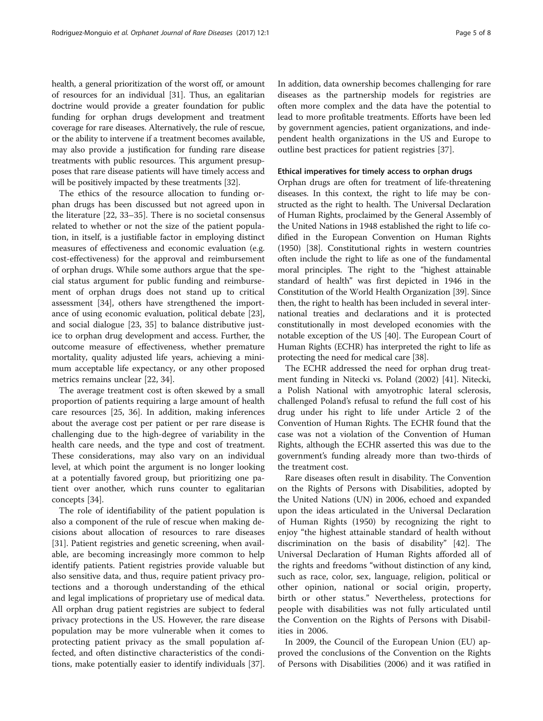health, a general prioritization of the worst off, or amount of resources for an individual [\[31](#page-7-0)]. Thus, an egalitarian doctrine would provide a greater foundation for public funding for orphan drugs development and treatment coverage for rare diseases. Alternatively, the rule of rescue, or the ability to intervene if a treatment becomes available, may also provide a justification for funding rare disease treatments with public resources. This argument presupposes that rare disease patients will have timely access and will be positively impacted by these treatments [[32](#page-7-0)].

The ethics of the resource allocation to funding orphan drugs has been discussed but not agreed upon in the literature [\[22](#page-7-0), [33](#page-7-0)–[35\]](#page-7-0). There is no societal consensus related to whether or not the size of the patient population, in itself, is a justifiable factor in employing distinct measures of effectiveness and economic evaluation (e.g. cost-effectiveness) for the approval and reimbursement of orphan drugs. While some authors argue that the special status argument for public funding and reimbursement of orphan drugs does not stand up to critical assessment [[34\]](#page-7-0), others have strengthened the importance of using economic evaluation, political debate [\[23](#page-7-0)], and social dialogue [\[23](#page-7-0), [35\]](#page-7-0) to balance distributive justice to orphan drug development and access. Further, the outcome measure of effectiveness, whether premature mortality, quality adjusted life years, achieving a minimum acceptable life expectancy, or any other proposed metrics remains unclear [\[22](#page-7-0), [34](#page-7-0)].

The average treatment cost is often skewed by a small proportion of patients requiring a large amount of health care resources [\[25](#page-7-0), [36\]](#page-7-0). In addition, making inferences about the average cost per patient or per rare disease is challenging due to the high-degree of variability in the health care needs, and the type and cost of treatment. These considerations, may also vary on an individual level, at which point the argument is no longer looking at a potentially favored group, but prioritizing one patient over another, which runs counter to egalitarian concepts [[34\]](#page-7-0).

The role of identifiability of the patient population is also a component of the rule of rescue when making decisions about allocation of resources to rare diseases [[31\]](#page-7-0). Patient registries and genetic screening, when available, are becoming increasingly more common to help identify patients. Patient registries provide valuable but also sensitive data, and thus, require patient privacy protections and a thorough understanding of the ethical and legal implications of proprietary use of medical data. All orphan drug patient registries are subject to federal privacy protections in the US. However, the rare disease population may be more vulnerable when it comes to protecting patient privacy as the small population affected, and often distinctive characteristics of the conditions, make potentially easier to identify individuals [\[37](#page-7-0)]. In addition, data ownership becomes challenging for rare diseases as the partnership models for registries are often more complex and the data have the potential to lead to more profitable treatments. Efforts have been led by government agencies, patient organizations, and independent health organizations in the US and Europe to outline best practices for patient registries [\[37](#page-7-0)].

### Ethical imperatives for timely access to orphan drugs

Orphan drugs are often for treatment of life-threatening diseases. In this context, the right to life may be constructed as the right to health. The Universal Declaration of Human Rights, proclaimed by the General Assembly of the United Nations in 1948 established the right to life codified in the European Convention on Human Rights (1950) [\[38\]](#page-7-0). Constitutional rights in western countries often include the right to life as one of the fundamental moral principles. The right to the "highest attainable standard of health" was first depicted in 1946 in the Constitution of the World Health Organization [[39](#page-7-0)]. Since then, the right to health has been included in several international treaties and declarations and it is protected constitutionally in most developed economies with the notable exception of the US [\[40\]](#page-7-0). The European Court of Human Rights (ECHR) has interpreted the right to life as protecting the need for medical care [\[38\]](#page-7-0).

The ECHR addressed the need for orphan drug treatment funding in Nitecki vs. Poland (2002) [\[41\]](#page-7-0). Nitecki, a Polish National with amyotrophic lateral sclerosis, challenged Poland's refusal to refund the full cost of his drug under his right to life under Article 2 of the Convention of Human Rights. The ECHR found that the case was not a violation of the Convention of Human Rights, although the ECHR asserted this was due to the government's funding already more than two-thirds of the treatment cost.

Rare diseases often result in disability. The Convention on the Rights of Persons with Disabilities, adopted by the United Nations (UN) in 2006, echoed and expanded upon the ideas articulated in the Universal Declaration of Human Rights (1950) by recognizing the right to enjoy "the highest attainable standard of health without discrimination on the basis of disability" [\[42](#page-7-0)]. The Universal Declaration of Human Rights afforded all of the rights and freedoms "without distinction of any kind, such as race, color, sex, language, religion, political or other opinion, national or social origin, property, birth or other status." Nevertheless, protections for people with disabilities was not fully articulated until the Convention on the Rights of Persons with Disabilities in 2006.

In 2009, the Council of the European Union (EU) approved the conclusions of the Convention on the Rights of Persons with Disabilities (2006) and it was ratified in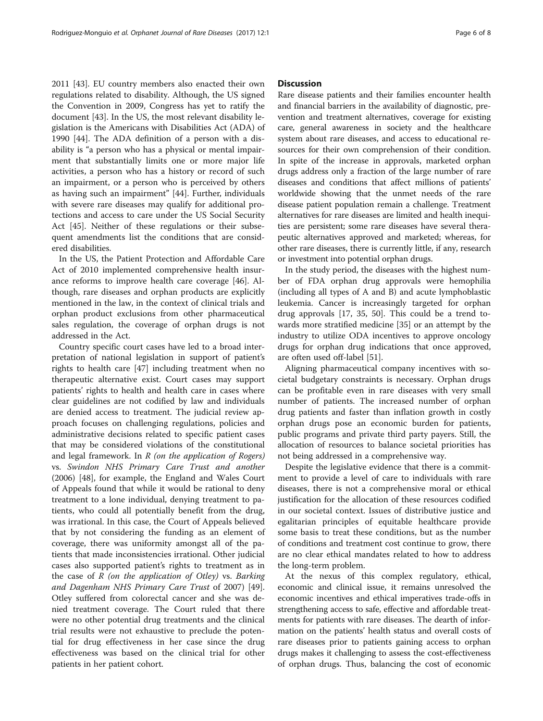2011 [\[43](#page-7-0)]. EU country members also enacted their own regulations related to disability. Although, the US signed the Convention in 2009, Congress has yet to ratify the document [[43\]](#page-7-0). In the US, the most relevant disability legislation is the Americans with Disabilities Act (ADA) of 1990 [[44\]](#page-7-0). The ADA definition of a person with a disability is "a person who has a physical or mental impairment that substantially limits one or more major life activities, a person who has a history or record of such an impairment, or a person who is perceived by others as having such an impairment" [\[44](#page-7-0)]. Further, individuals with severe rare diseases may qualify for additional protections and access to care under the US Social Security Act [[45](#page-7-0)]. Neither of these regulations or their subsequent amendments list the conditions that are considered disabilities.

In the US, the Patient Protection and Affordable Care Act of 2010 implemented comprehensive health insurance reforms to improve health care coverage [\[46](#page-7-0)]. Although, rare diseases and orphan products are explicitly mentioned in the law, in the context of clinical trials and orphan product exclusions from other pharmaceutical sales regulation, the coverage of orphan drugs is not addressed in the Act.

Country specific court cases have led to a broad interpretation of national legislation in support of patient's rights to health care [\[47\]](#page-7-0) including treatment when no therapeutic alternative exist. Court cases may support patients' rights to health and health care in cases where clear guidelines are not codified by law and individuals are denied access to treatment. The judicial review approach focuses on challenging regulations, policies and administrative decisions related to specific patient cases that may be considered violations of the constitutional and legal framework. In  $R$  (on the application of Rogers) vs. Swindon NHS Primary Care Trust and another (2006) [[48\]](#page-7-0), for example, the England and Wales Court of Appeals found that while it would be rational to deny treatment to a lone individual, denying treatment to patients, who could all potentially benefit from the drug, was irrational. In this case, the Court of Appeals believed that by not considering the funding as an element of coverage, there was uniformity amongst all of the patients that made inconsistencies irrational. Other judicial cases also supported patient's rights to treatment as in the case of  $R$  (on the application of Otley) vs. Barking and Dagenham NHS Primary Care Trust of 2007) [\[49](#page-7-0)]. Otley suffered from colorectal cancer and she was denied treatment coverage. The Court ruled that there were no other potential drug treatments and the clinical trial results were not exhaustive to preclude the potential for drug effectiveness in her case since the drug effectiveness was based on the clinical trial for other patients in her patient cohort.

## **Discussion**

Rare disease patients and their families encounter health and financial barriers in the availability of diagnostic, prevention and treatment alternatives, coverage for existing care, general awareness in society and the healthcare system about rare diseases, and access to educational resources for their own comprehension of their condition. In spite of the increase in approvals, marketed orphan drugs address only a fraction of the large number of rare diseases and conditions that affect millions of patients' worldwide showing that the unmet needs of the rare disease patient population remain a challenge. Treatment alternatives for rare diseases are limited and health inequities are persistent; some rare diseases have several therapeutic alternatives approved and marketed; whereas, for other rare diseases, there is currently little, if any, research or investment into potential orphan drugs.

In the study period, the diseases with the highest number of FDA orphan drug approvals were hemophilia (including all types of A and B) and acute lymphoblastic leukemia. Cancer is increasingly targeted for orphan drug approvals [[17, 35](#page-7-0), [50\]](#page-7-0). This could be a trend towards more stratified medicine [\[35\]](#page-7-0) or an attempt by the industry to utilize ODA incentives to approve oncology drugs for orphan drug indications that once approved, are often used off-label [\[51](#page-7-0)].

Aligning pharmaceutical company incentives with societal budgetary constraints is necessary. Orphan drugs can be profitable even in rare diseases with very small number of patients. The increased number of orphan drug patients and faster than inflation growth in costly orphan drugs pose an economic burden for patients, public programs and private third party payers. Still, the allocation of resources to balance societal priorities has not being addressed in a comprehensive way.

Despite the legislative evidence that there is a commitment to provide a level of care to individuals with rare diseases, there is not a comprehensive moral or ethical justification for the allocation of these resources codified in our societal context. Issues of distributive justice and egalitarian principles of equitable healthcare provide some basis to treat these conditions, but as the number of conditions and treatment cost continue to grow, there are no clear ethical mandates related to how to address the long-term problem.

At the nexus of this complex regulatory, ethical, economic and clinical issue, it remains unresolved the economic incentives and ethical imperatives trade-offs in strengthening access to safe, effective and affordable treatments for patients with rare diseases. The dearth of information on the patients' health status and overall costs of rare diseases prior to patients gaining access to orphan drugs makes it challenging to assess the cost-effectiveness of orphan drugs. Thus, balancing the cost of economic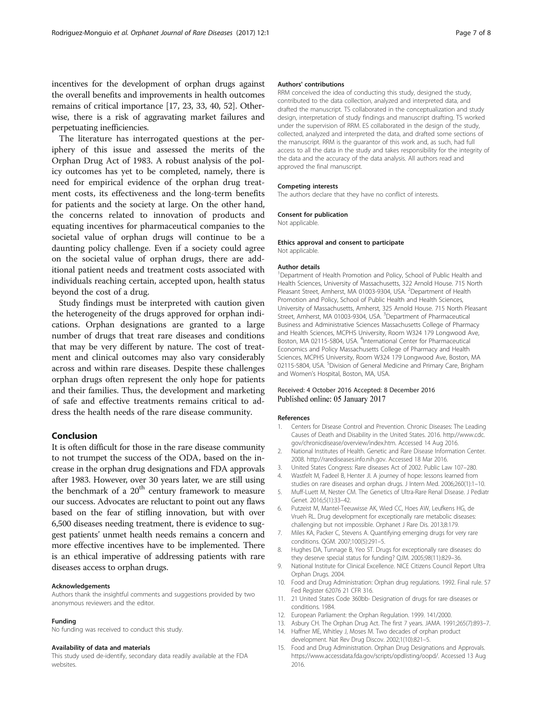<span id="page-6-0"></span>incentives for the development of orphan drugs against the overall benefits and improvements in health outcomes remains of critical importance [\[17, 23, 33, 40, 52\]](#page-7-0). Otherwise, there is a risk of aggravating market failures and perpetuating inefficiencies.

The literature has interrogated questions at the periphery of this issue and assessed the merits of the Orphan Drug Act of 1983. A robust analysis of the policy outcomes has yet to be completed, namely, there is need for empirical evidence of the orphan drug treatment costs, its effectiveness and the long-term benefits for patients and the society at large. On the other hand, the concerns related to innovation of products and equating incentives for pharmaceutical companies to the societal value of orphan drugs will continue to be a daunting policy challenge. Even if a society could agree on the societal value of orphan drugs, there are additional patient needs and treatment costs associated with individuals reaching certain, accepted upon, health status beyond the cost of a drug.

Study findings must be interpreted with caution given the heterogeneity of the drugs approved for orphan indications. Orphan designations are granted to a large number of drugs that treat rare diseases and conditions that may be very different by nature. The cost of treatment and clinical outcomes may also vary considerably across and within rare diseases. Despite these challenges orphan drugs often represent the only hope for patients and their families. Thus, the development and marketing of safe and effective treatments remains critical to address the health needs of the rare disease community.

## Conclusion

It is often difficult for those in the rare disease community to not trumpet the success of the ODA, based on the increase in the orphan drug designations and FDA approvals after 1983. However, over 30 years later, we are still using the benchmark of a  $20<sup>th</sup>$  century framework to measure our success. Advocates are reluctant to point out any flaws based on the fear of stifling innovation, but with over 6,500 diseases needing treatment, there is evidence to suggest patients' unmet health needs remains a concern and more effective incentives have to be implemented. There is an ethical imperative of addressing patients with rare diseases access to orphan drugs.

### Acknowledgements

Authors thank the insightful comments and suggestions provided by two anonymous reviewers and the editor.

### Funding

No funding was received to conduct this study.

#### Availability of data and materials

This study used de-identify, secondary data readily available at the FDA websites

#### Authors' contributions

RRM conceived the idea of conducting this study, designed the study, contributed to the data collection, analyzed and interpreted data, and drafted the manuscript. TS collaborated in the conceptualization and study design, interpretation of study findings and manuscript drafting. TS worked under the supervision of RRM. ES collaborated in the design of the study, collected, analyzed and interpreted the data, and drafted some sections of the manuscript. RRM is the guarantor of this work and, as such, had full access to all the data in the study and takes responsibility for the integrity of the data and the accuracy of the data analysis. All authors read and approved the final manuscript.

#### Competing interests

The authors declare that they have no conflict of interests.

#### Consent for publication

Not applicable.

#### Ethics approval and consent to participate Not applicable.

#### Author details

<sup>1</sup>Department of Health Promotion and Policy, School of Public Health and Health Sciences, University of Massachusetts, 322 Arnold House. 715 North Pleasant Street, Amherst, MA 01003-9304, USA. <sup>2</sup>Department of Health Promotion and Policy, School of Public Health and Health Sciences, University of Massachusetts, Amherst, 325 Arnold House. 715 North Pleasant Street, Amherst, MA 01003-9304, USA. <sup>3</sup>Department of Pharmaceutical Business and Administrative Sciences Massachusetts College of Pharmacy and Health Sciences, MCPHS University, Room W324 179 Longwood Ave, Boston, MA 02115-5804, USA. <sup>4</sup>International Center for Pharmaceutical Economics and Policy Massachusetts College of Pharmacy and Health Sciences, MCPHS University, Room W324 179 Longwood Ave, Boston, MA 02115-5804, USA. <sup>5</sup>Division of General Medicine and Primary Care, Brigham and Women's Hospital, Boston, MA, USA.

### Received: 4 October 2016 Accepted: 8 December 2016 Published online: 05 January 2017

#### References

- 1. Centers for Disease Control and Prevention. Chronic Diseases: The Leading Causes of Death and Disability in the United States. 2016. [http://www.cdc.](http://www.cdc.gov/chronicdisease/overview/index.htm) [gov/chronicdisease/overview/index.htm.](http://www.cdc.gov/chronicdisease/overview/index.htm) Accessed 14 Aug 2016.
- 2. National Institutes of Health. Genetic and Rare Disease Information Center. 2008. [http://rarediseases.info.nih.gov.](http://rarediseases.info.nih.gov/) Accessed 18 Mar 2016.
- 3. United States Congress: Rare diseases Act of 2002. Public Law 107–280.
- 4. Wastfelt M, Fadeel B, Henter JI. A journey of hope: lessons learned from
- studies on rare diseases and orphan drugs. J Intern Med. 2006;260(1):1–10. 5. Muff-Luett M, Nester CM. The Genetics of Ultra-Rare Renal Disease. J Pediatr Genet. 2016;5(1):33–42.
- 6. Putzeist M, Mantel-Teeuwisse AK, Wied CC, Hoes AW, Leufkens HG, de Vrueh RL. Drug development for exceptionally rare metabolic diseases: challenging but not impossible. Orphanet J Rare Dis. 2013;8:179.
- Miles KA, Packer C, Stevens A. Quantifying emerging drugs for very rare conditions. QGM. 2007;100(5):291–5.
- 8. Hughes DA, Tunnage B, Yeo ST. Drugs for exceptionally rare diseases: do they deserve special status for funding? QJM. 2005;98(11):829–36.
- 9. National Institute for Clinical Excellence. NICE Citizens Council Report Ultra Orphan Drugs. 2004.
- 10. Food and Drug Administration: Orphan drug regulations. 1992. Final rule. 57 Fed Register 62076 21 CFR 316.
- 11. 21 United States Code 360bb- Designation of drugs for rare diseases or conditions. 1984.
- 12. European Parliament: the Orphan Regulation. 1999. 141/2000.
- 13. Asbury CH. The Orphan Drug Act. The first 7 years. JAMA. 1991;265(7):893–7.
- 14. Haffner ME, Whitley J, Moses M. Two decades of orphan product development. Nat Rev Drug Discov. 2002;1(10):821–5.
- 15. Food and Drug Administration. Orphan Drug Designations and Approvals. [https://www.accessdata.fda.gov/scripts/opdlisting/oopd/.](https://www.accessdata.fda.gov/scripts/opdlisting/oopd/) Accessed 13 Aug 2016.